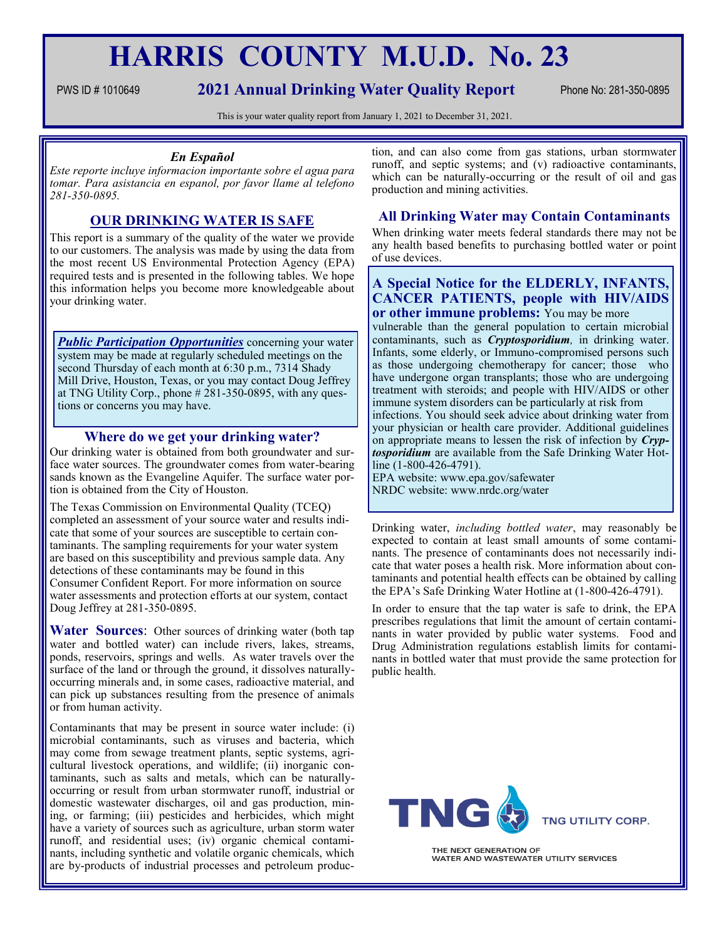# **HARRIS COUNTY M.U.D. No. 23**

# PWS ID #1010649 **2021 Annual Drinking Water Quality Report** Phone No: 281-350-0895

This is your water quality report from January 1, 2021 to December 31, 2021.

## *En Español*

*Este reporte incluye informacion importante sobre el agua para tomar. Para asistancia en espanol, por favor llame al telefono 281-350-0895.*

# **OUR DRINKING WATER IS SAFE**

This report is a summary of the quality of the water we provide to our customers. The analysis was made by using the data from the most recent US Environmental Protection Agency (EPA) required tests and is presented in the following tables. We hope this information helps you become more knowledgeable about your drinking water.

*Public Participation Opportunities* concerning your water system may be made at regularly scheduled meetings on the second Thursday of each month at 6:30 p.m., 7314 Shady Mill Drive, Houston, Texas, or you may contact Doug Jeffrey at TNG Utility Corp., phone # 281-350-0895, with any questions or concerns you may have.

# **Where do we get your drinking water?**

Our drinking water is obtained from both groundwater and surface water sources. The groundwater comes from water-bearing sands known as the Evangeline Aquifer. The surface water portion is obtained from the City of Houston.

The Texas Commission on Environmental Quality (TCEQ) completed an assessment of your source water and results indicate that some of your sources are susceptible to certain contaminants. The sampling requirements for your water system are based on this susceptibility and previous sample data. Any detections of these contaminants may be found in this Consumer Confident Report. For more information on source water assessments and protection efforts at our system, contact Doug Jeffrey at 281-350-0895.

**Water Sources**: Other sources of drinking water (both tap water and bottled water) can include rivers, lakes, streams, ponds, reservoirs, springs and wells. As water travels over the surface of the land or through the ground, it dissolves naturallyoccurring minerals and, in some cases, radioactive material, and can pick up substances resulting from the presence of animals or from human activity.

Contaminants that may be present in source water include: (i) microbial contaminants, such as viruses and bacteria, which may come from sewage treatment plants, septic systems, agricultural livestock operations, and wildlife; (ii) inorganic contaminants, such as salts and metals, which can be naturallyoccurring or result from urban stormwater runoff, industrial or domestic wastewater discharges, oil and gas production, mining, or farming; (iii) pesticides and herbicides, which might have a variety of sources such as agriculture, urban storm water runoff, and residential uses; (iv) organic chemical contaminants, including synthetic and volatile organic chemicals, which are by-products of industrial processes and petroleum production, and can also come from gas stations, urban stormwater runoff, and septic systems; and (v) radioactive contaminants, which can be naturally-occurring or the result of oil and gas production and mining activities.

# **All Drinking Water may Contain Contaminants**

When drinking water meets federal standards there may not be any health based benefits to purchasing bottled water or point of use devices.

## **A Special Notice for the ELDERLY, INFANTS, CANCER PATIENTS, people with HIV/AIDS or other immune problems:** You may be more

vulnerable than the general population to certain microbial contaminants, such as *Cryptosporidium,* in drinking water. Infants, some elderly, or Immuno-compromised persons such as those undergoing chemotherapy for cancer; those who have undergone organ transplants; those who are undergoing treatment with steroids; and people with HIV/AIDS or other immune system disorders can be particularly at risk from infections. You should seek advice about drinking water from your physician or health care provider. Additional guidelines on appropriate means to lessen the risk of infection by *Cryptosporidium* are available from the Safe Drinking Water Hotline (1-800-426-4791).

EPA website: www.epa.gov/safewater NRDC website: www.nrdc.org/water

Drinking water, *including bottled water*, may reasonably be expected to contain at least small amounts of some contaminants. The presence of contaminants does not necessarily indicate that water poses a health risk. More information about contaminants and potential health effects can be obtained by calling the EPA's Safe Drinking Water Hotline at (1-800-426-4791).

In order to ensure that the tap water is safe to drink, the EPA prescribes regulations that limit the amount of certain contaminants in water provided by public water systems. Food and Drug Administration regulations establish limits for contaminants in bottled water that must provide the same protection for public health.



THE NEXT GENERATION OF WATER AND WASTEWATER UTILITY SERVICES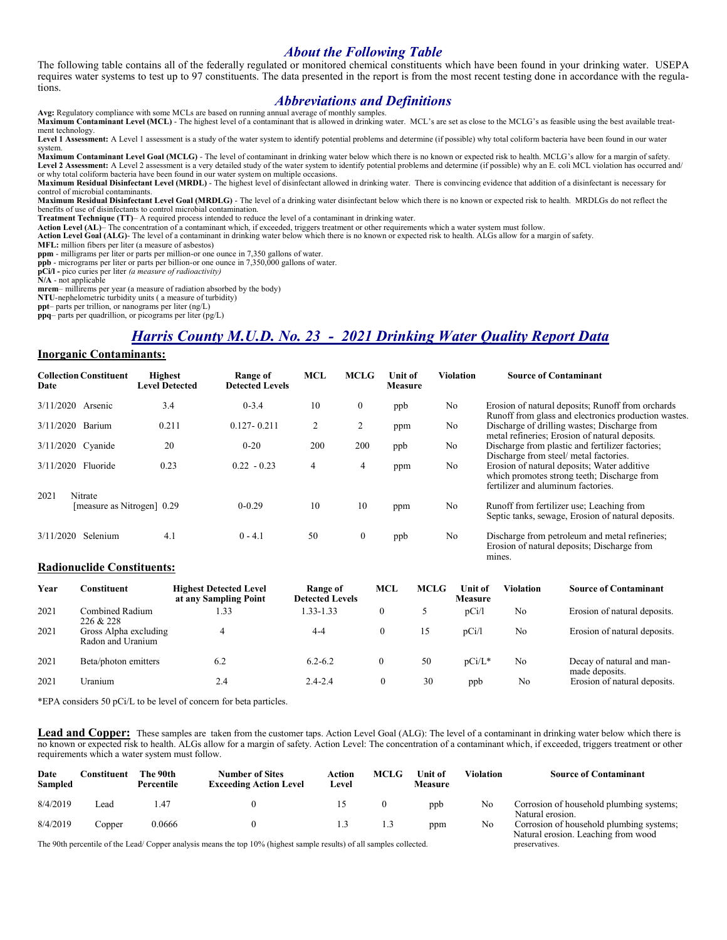# *About the Following Table*

The following table contains all of the federally regulated or monitored chemical constituents which have been found in your drinking water. USEPA requires water systems to test up to 97 constituents. The data presented in the report is from the most recent testing done in accordance with the regulations.

# *Abbreviations and Definitions*

**Avg:** Regulatory compliance with some MCLs are based on running annual average of monthly samples. **Maximum Contaminant Level (MCL)** - The highest level of a contaminant that is allowed in drinking water. MCL's are set as close to the MCLG's as feasible using the best available treatment technology.

**Level 1 Assessment:** A Level 1 assessment is a study of the water system to identify potential problems and determine (if possible) why total coliform bacteria have been found in our water system.

**Maximum Contaminant Level Goal (MCLG)** - The level of contaminant in drinking water below which there is no known or expected risk to health. MCLG's allow for a margin of safety. Level 2 Assessment: A Level 2 assessment is a very detailed study of the water system to identify potential problems and determine (if possible) why an E. coli MCL violation has occurred and/ or why total coliform bacteria have been found in our water system on multiple occasions.

**Maximum Residual Disinfectant Level (MRDL)** - The highest level of disinfectant allowed in drinking water. There is convincing evidence that addition of a disinfectant is necessary for control of microbial contaminants.

**Maximum Residual Disinfectant Level Goal (MRDLG)** - The level of a drinking water disinfectant below which there is no known or expected risk to health. MRDLGs do not reflect the benefits of use of disinfectants to control microbial contamination.

**Treatment Technique (TT)**– A required process intended to reduce the level of a contaminant in drinking water.

Action Level (AL)– The concentration of a contaminant which, if exceeded, triggers treatment or other requirements which a water system must follow.<br>Action Level Goal (ALG)- The level of a contaminant in drinking water bel

**MFL:** million fibers per liter (a measure of asbestos)

mines.

**ppm** - milligrams per liter or parts per million-or one ounce in 7,350 gallons of water.

**ppb** - micrograms per liter or parts per billion-or one ounce in 7,350,000 gallons of water.

**pCi/l -** pico curies per liter *(a measure of radioactivity)* 

**N/A** - not applicable

**mrem**– millirems per year (a measure of radiation absorbed by the body)

**NTU**-nephelometric turbidity units ( a measure of turbidity)

**ppt**– parts per trillion, or nanograms per liter (ng/L)

**ppq**– parts per quadrillion, or picograms per liter (pg/L)

# *Harris County M.U.D. No. 23 - 2021 Drinking Water Quality Report Data*

#### **Inorganic Contaminants:**

| <b>Collection Constituent</b><br>Date | <b>Highest</b><br><b>Level Detected</b> | Range of<br><b>Detected Levels</b> | <b>MCL</b> | <b>MCLG</b>  | <b>Unit of</b><br><b>Measure</b> | <b>Violation</b> | <b>Source of Contaminant</b>                                                                                                                                               |
|---------------------------------------|-----------------------------------------|------------------------------------|------------|--------------|----------------------------------|------------------|----------------------------------------------------------------------------------------------------------------------------------------------------------------------------|
| 3/11/2020<br>Arsenic                  | 3.4                                     | $0 - 3.4$                          | 10         | $\mathbf{0}$ | ppb                              | No               | Erosion of natural deposits; Runoff from orchards<br>Runoff from glass and electronics production wastes.                                                                  |
| 3/11/2020<br>Barium                   | 0.211                                   | $0.127 - 0.211$                    |            | 2            | ppm                              | No               | Discharge of drilling wastes; Discharge from<br>metal refineries; Erosion of natural deposits.                                                                             |
| 3/11/2020 Cyanide                     | 20                                      | $0 - 20$                           | 200        | 200          | ppb                              | No               | Discharge from plastic and fertilizer factories;                                                                                                                           |
| Fluoride<br>3/11/2020                 | 0.23                                    | $0.22 - 0.23$                      | 4          | 4            | ppm                              | No               | Discharge from steel/ metal factories.<br>Erosion of natural deposits; Water additive<br>which promotes strong teeth; Discharge from<br>fertilizer and aluminum factories. |
| Nitrate<br>2021                       | [measure as Nitrogen] 0.29              | $0 - 0.29$                         | 10         | 10           | ppm                              | No               | Runoff from fertilizer use; Leaching from<br>Septic tanks, sewage, Erosion of natural deposits.                                                                            |
| 3/11/2020<br>Selenium                 | 4.1                                     | $0 - 4.1$                          | 50         | $\mathbf{0}$ | ppb                              | No               | Discharge from petroleum and metal refineries;<br>Erosion of natural deposits; Discharge from                                                                              |

#### **Radionuclide Constituents:**

| Year | Constituent                                | <b>Highest Detected Level</b><br>at any Sampling Point | Range of<br><b>Detected Levels</b> | MCL          | <b>MCLG</b> | Unit of<br><b>Measure</b> | <b>Violation</b> | <b>Source of Contaminant</b>                |
|------|--------------------------------------------|--------------------------------------------------------|------------------------------------|--------------|-------------|---------------------------|------------------|---------------------------------------------|
| 2021 | Combined Radium<br>226 & 228               | 1.33                                                   | 1.33-1.33                          | $\theta$     |             | pCi/l                     | No               | Erosion of natural deposits.                |
| 2021 | Gross Alpha excluding<br>Radon and Uranium | 4                                                      | $4 - 4$                            | $\theta$     | 15          | pCi/1                     | No               | Erosion of natural deposits.                |
| 2021 | Beta/photon emitters                       | 6.2                                                    | $6.2 - 6.2$                        | $\mathbf{0}$ | 50          | $pCi/L^*$                 | No               | Decay of natural and man-<br>made deposits. |
| 2021 | Uranium                                    | 2.4                                                    | $2.4 - 2.4$                        | $\theta$     | 30          | ppb                       | No               | Erosion of natural deposits.                |

\*EPA considers 50 pCi/L to be level of concern for beta particles.

Lead and Copper: These samples are taken from the customer taps. Action Level Goal (ALG): The level of a contaminant in drinking water below which there is no known or expected risk to health. ALGs allow for a margin of safety. Action Level: The concentration of a contaminant which, if exceeded, triggers treatment or other requirements which a water system must follow.

| Date<br>Sampled | Constituent | The 90th<br>Percentile | <b>Number of Sites</b><br><b>Exceeding Action Level</b> | Action<br>Level | MCLG | ∐nit of<br><b>Measure</b> | <b>Violation</b> | <b>Source of Contaminant</b>                                                    |
|-----------------|-------------|------------------------|---------------------------------------------------------|-----------------|------|---------------------------|------------------|---------------------------------------------------------------------------------|
| 8/4/2019        | Lead        | . 47                   |                                                         |                 |      | ppb                       | No               | Corrosion of household plumbing systems;<br>Natural erosion.                    |
| 8/4/2019        | Copper      | 0.0666                 |                                                         |                 |      | ppm                       | No               | Corrosion of household plumbing systems;<br>Natural erosion. Leaching from wood |

The 90th percentile of the Lead/ Copper analysis means the top 10% (highest sample results) of all samples collected. preservatives.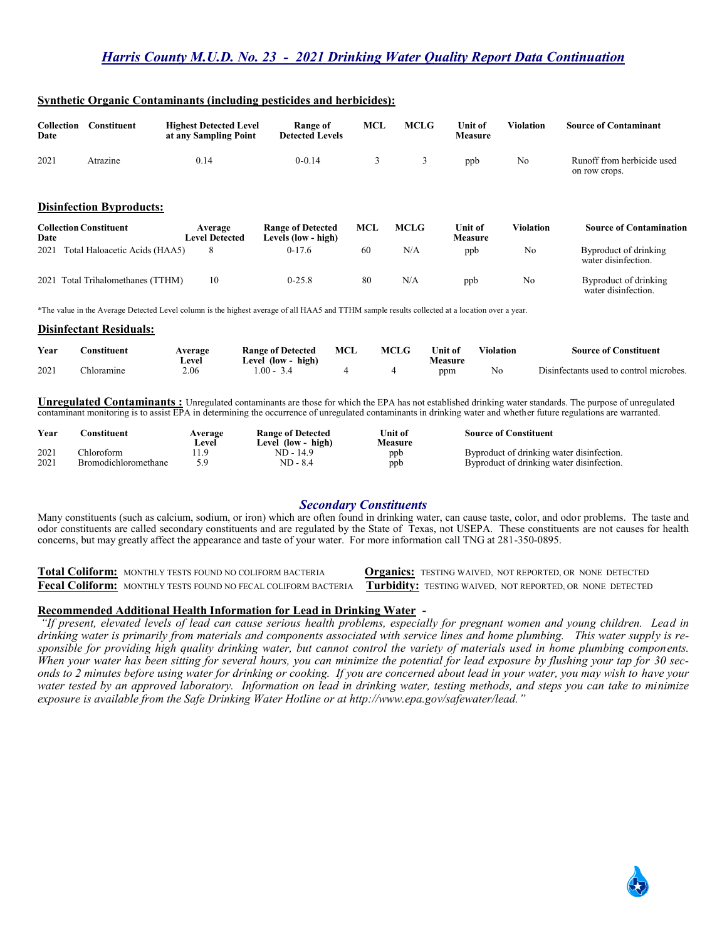| Collection<br>Date | Constituent | <b>Highest Detected Level</b><br>at any Sampling Point | Range of<br><b>Detected Levels</b> | <b>MCL</b> | <b>MCLG</b> | Unit of<br><b>Measure</b> | Violation | <b>Source of Contaminant</b>                |
|--------------------|-------------|--------------------------------------------------------|------------------------------------|------------|-------------|---------------------------|-----------|---------------------------------------------|
| 2021               | Atrazine    | 0.14                                                   | $0 - 0.14$                         |            |             | ppb                       | No        | Runoff from herbicide used<br>on row crops. |

## **Synthetic Organic Contaminants (including pesticides and herbicides):**

#### **Disinfection Byproducts:**

| <b>Collection Constituent</b><br>Date | Average<br><b>Level Detected</b> | <b>Range of Detected</b><br>Levels (low - high) | MCL | <b>MCLG</b> | Unit of<br><b>Measure</b> | Violation | <b>Source of Contamination</b>               |
|---------------------------------------|----------------------------------|-------------------------------------------------|-----|-------------|---------------------------|-----------|----------------------------------------------|
| Total Haloacetic Acids (HAA5)<br>2021 |                                  | $0-17.6$                                        | 60  | N/A         | ppb                       | No        | Byproduct of drinking<br>water disinfection. |
| 2021 Total Trihalomethanes (TTHM)     |                                  | $0 - 25.8$                                      | 80  | N/A         | ppb                       | No        | Byproduct of drinking                        |

water disinfection.

\*The value in the Average Detected Level column is the highest average of all HAA5 and TTHM sample results collected at a location over a year.

#### **Disinfectant Residuals:**

| Year | :onstituent | Average<br>∟evel | <b>Range of Detected</b><br>high)<br>$\textcolor{blue}{\text{Level (low - }}$ | MCI | <b>MCLG</b> | Unit of<br>Vleasure | Violation | <b>Source of Constituent</b>            |
|------|-------------|------------------|-------------------------------------------------------------------------------|-----|-------------|---------------------|-----------|-----------------------------------------|
| 2021 | hloramıne   | 2.06             | $.00 -$                                                                       |     |             | ppm                 | No        | Disinfectants used to control microbes. |

**Unregulated Contaminants :** Unregulated contaminants are those for which the EPA has not established drinking water standards. The purpose of unregulated contaminant monitoring is to assist EPA in determining the occurrence of unregulated contaminants in drinking water and whether future regulations are warranted.

| Year | `onstituent                 | Average | <b>Range of Detected</b> | Unit of | <b>Source of Constituent</b>              |
|------|-----------------------------|---------|--------------------------|---------|-------------------------------------------|
|      |                             | Level   | Level (low - high)       | Measure |                                           |
| 2021 | hloroform.                  |         | $ND - 14.9$              | ppb     | Byproduct of drinking water disinfection. |
| 2021 | <b>Bromodichloromethane</b> |         | ND - 8.4                 | ppb     | Byproduct of drinking water disinfection. |

# *Secondary Constituents*

Many constituents (such as calcium, sodium, or iron) which are often found in drinking water, can cause taste, color, and odor problems. The taste and odor constituents are called secondary constituents and are regulated by the State of Texas, not USEPA. These constituents are not causes for health concerns, but may greatly affect the appearance and taste of your water. For more information call TNG at 281-350-0895.

**Total Coliform:** MONTHLY TESTS FOUND NO COLIFORM BACTERIA **Organics:** TESTING WAIVED, NOT REPORTED, OR NONE DETECTED **Fecal Coliform:** MONTHLY TESTS FOUND NO FECAL COLIFORM BACTERIA **Turbidity:** TESTING WAIVED, NOT REPORTED, OR NONE DETECTED

## **Recommended Additional Health Information for Lead in Drinking Water -**

*"If present, elevated levels of lead can cause serious health problems, especially for pregnant women and young children. Lead in drinking water is primarily from materials and components associated with service lines and home plumbing. This water supply is responsible for providing high quality drinking water, but cannot control the variety of materials used in home plumbing components. When your water has been sitting for several hours, you can minimize the potential for lead exposure by flushing your tap for 30 seconds to 2 minutes before using water for drinking or cooking. If you are concerned about lead in your water, you may wish to have your water tested by an approved laboratory. Information on lead in drinking water, testing methods, and steps you can take to minimize exposure is available from the Safe Drinking Water Hotline or at http://www.epa.gov/safewater/lead."*

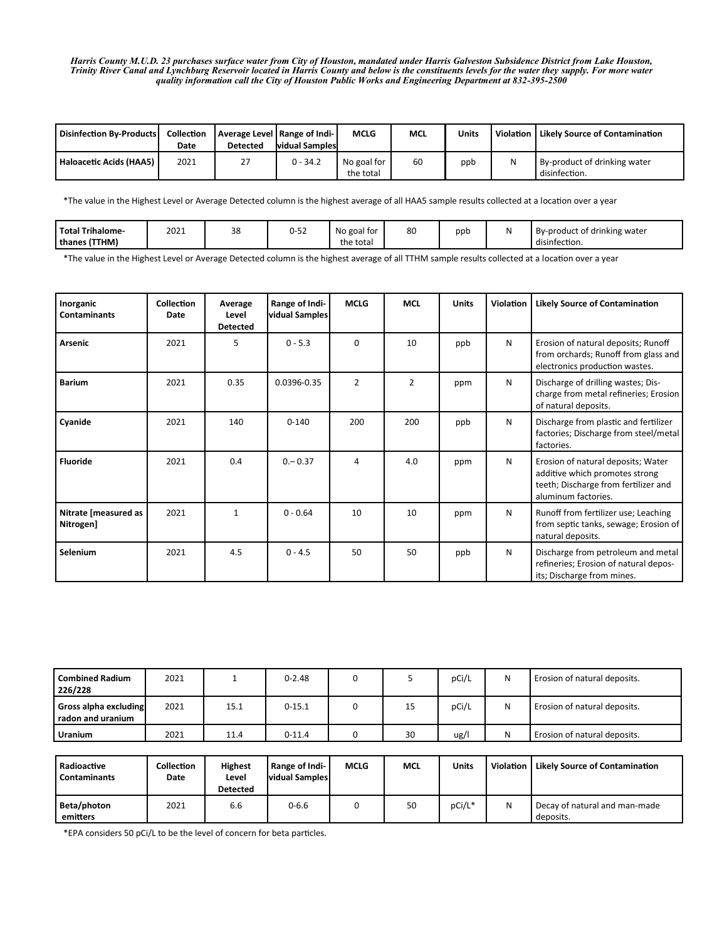*Harris County M.U.D. 23 purchases surface water from City of Houston, mandated under Harris Galveston Subsidence District from Lake Houston, Trinity River Canal and Lynchburg Reservoir located in Harris County and below is the constituents levels for the water they supply. For more water quality information call the City of Houston Public Works and Engineering Department at 832-395-2500*

| <b>Disinfection By-Products</b> | <b>Collection</b><br>Date | <b>Detected</b> | Average Level   Range of Indi-<br><b>vidual Samples</b> | <b>MCLG</b>              | <b>MCL</b> | <b>Units</b> | Violation | <b>Likely Source of Contamination</b>         |
|---------------------------------|---------------------------|-----------------|---------------------------------------------------------|--------------------------|------------|--------------|-----------|-----------------------------------------------|
| Haloacetic Acids (HAA5)         | 2021                      | 27              | $0 - 34.2$                                              | No goal for<br>the total | 60         | ppb          | N         | By-product of drinking water<br>disinfection. |

\*The value in the Highest Level or Average Detected column is the highest average of all HAA5 sample results collected at a location over a year

| <b>Total Trihalome</b> | 2021 | 38 | .<br>U-52 | $\cdot$ $\cdot$<br>No goal for | 80 | ppb | .<br>By-product of drinking water |
|------------------------|------|----|-----------|--------------------------------|----|-----|-----------------------------------|
| thanes (TTHM)          |      |    |           | the total                      |    |     | disinfection.                     |

\*The value in the Highest Level or Average Detected column is the highest average of all TTHM sample results collected at a location over a year

| Inorganic<br><b>Contaminants</b>  | Collection<br>Date | Average<br>Level<br><b>Detected</b> | Range of Indi-<br>vidual Samples | <b>MCLG</b>    | <b>MCL</b>     | <b>Units</b> | Violation | <b>Likely Source of Contamination</b>                                                                                               |
|-----------------------------------|--------------------|-------------------------------------|----------------------------------|----------------|----------------|--------------|-----------|-------------------------------------------------------------------------------------------------------------------------------------|
| <b>Arsenic</b>                    | 2021               | 5                                   | $0 - 5.3$                        | $\Omega$       | 10             | ppb          | N         | Erosion of natural deposits; Runoff<br>from orchards; Runoff from glass and<br>electronics production wastes.                       |
| <b>Barium</b>                     | 2021               | 0.35                                | 0.0396-0.35                      | $\overline{2}$ | $\overline{2}$ | ppm          | N         | Discharge of drilling wastes; Dis-<br>charge from metal refineries; Erosion<br>of natural deposits.                                 |
| Cyanide                           | 2021               | 140                                 | $0 - 140$                        | 200            | 200            | ppb          | N         | Discharge from plastic and fertilizer<br>factories; Discharge from steel/metal<br>factories.                                        |
| <b>Fluoride</b>                   | 2021               | 0.4                                 | $0 - 0.37$                       | 4              | 4.0            | ppm          | N         | Erosion of natural deposits; Water<br>additive which promotes strong<br>teeth; Discharge from fertilizer and<br>aluminum factories. |
| Nitrate [measured as<br>Nitrogen] | 2021               | $\mathbf{1}$                        | $0 - 0.64$                       | 10             | 10             | ppm          | N         | Runoff from fertilizer use; Leaching<br>from septic tanks, sewage; Erosion of<br>natural deposits.                                  |
| Selenium                          | 2021               | 4.5                                 | $0 - 4.5$                        | 50             | 50             | ppb          | N         | Discharge from petroleum and metal<br>refineries; Erosion of natural depos-<br>its; Discharge from mines.                           |

| <b>Combined Radium</b><br>226/228          | 2021 |      | $0 - 2.48$ |    | pCi/L | N | Erosion of natural deposits. |
|--------------------------------------------|------|------|------------|----|-------|---|------------------------------|
| Gross alpha excluding<br>radon and uranium | 2021 | 15.1 | $0 - 15.1$ | 15 | pCi/L | N | Erosion of natural deposits. |
| <b>Uranium</b>                             | 2021 | 11.4 | $0 - 11.4$ | 30 | ug/   | N | Erosion of natural deposits. |

| Radioactive<br><b>Contaminants</b> | Collection<br>Date | <b>Highest</b><br>Level<br><b>Detected</b> | Range of Indi-<br><b>vidual Samples</b> | <b>MCLG</b> | <b>MCL</b> | Units  | Violation | <b>Likely Source of Contamination</b>      |
|------------------------------------|--------------------|--------------------------------------------|-----------------------------------------|-------------|------------|--------|-----------|--------------------------------------------|
| Beta/photon<br>emitters            | 2021               | 6.6                                        | $0 - 6.6$                               |             | 50         | pCi/L* | N         | Decay of natural and man-made<br>deposits. |

\*EPA considers 50 pCi/L to be the level of concern for beta particles.